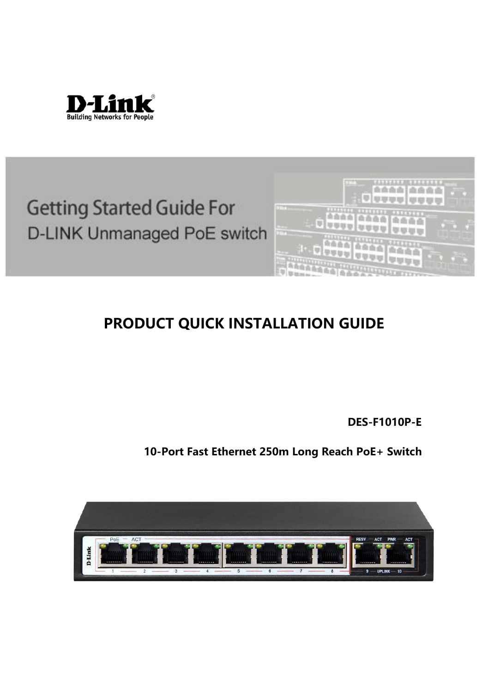

# **Getting Started Guide For** D-LINK Unmanaged PoE switch



# **PRODUCT QUICK INSTALLATION GUIDE**

**DES-F1010P-E**

**10-Port Fast Ethernet 250m Long Reach PoE+ Switch**

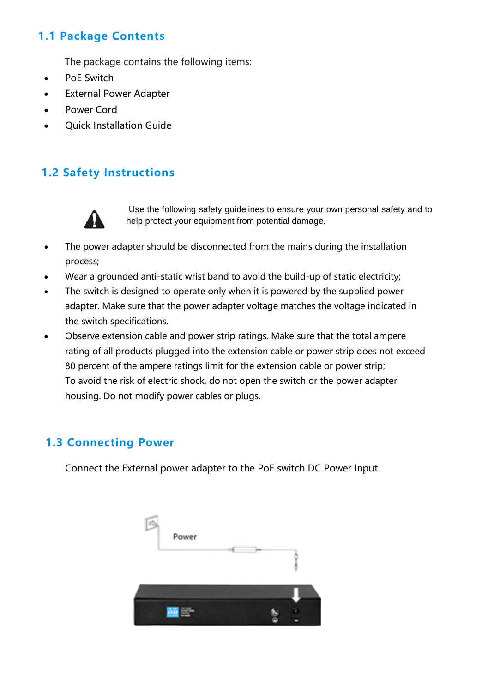#### **1.1 Package Contents**

The package contains the following items:

- PoE Switch
- **External Power Adapter**
- Power Cord
- Quick Installation Guide

#### **1.2 Safety Instructions**



Use the following safety guidelines to ensure your own personal safety and to help protect your equipment from potential damage.

- The power adapter should be disconnected from the mains during the installation process;
- Wear a grounded anti-static wrist band to avoid the build-up of static electricity;
- The switch is designed to operate only when it is powered by the supplied power adapter. Make sure that the power adapter voltage matches the voltage indicated in the switch specifications.
- Observe extension cable and power strip ratings. Make sure that the total ampere rating of all products plugged into the extension cable or power strip does not exceed 80 percent of the ampere ratings limit for the extension cable or power strip; To avoid the risk of electric shock, do not open the switch or the power adapter housing. Do not modify power cables or plugs.

#### **1.3 Connecting Power**

Connect the External power adapter to the PoE switch DC Power Input.

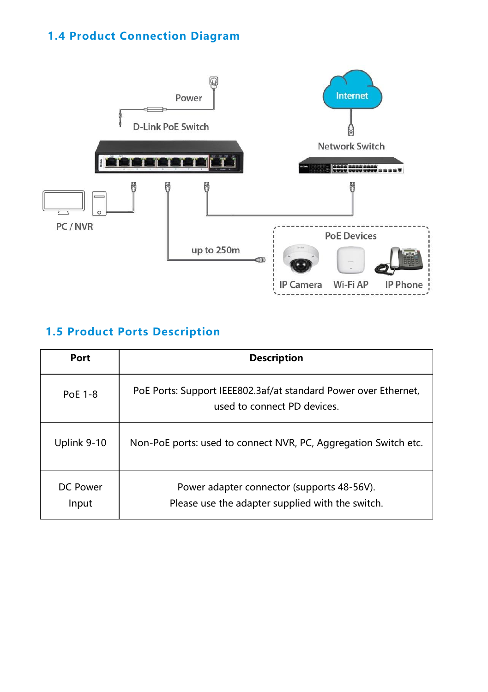### **1.4 Product Connection Diagram**



# **1.5 Product Ports Description**

| Port              | <b>Description</b>                                                                             |
|-------------------|------------------------------------------------------------------------------------------------|
| PoE 1-8           | PoE Ports: Support IEEE802.3af/at standard Power over Ethernet,<br>used to connect PD devices. |
| Uplink 9-10       | Non-PoE ports: used to connect NVR, PC, Aggregation Switch etc.                                |
| DC Power<br>Input | Power adapter connector (supports 48-56V).<br>Please use the adapter supplied with the switch. |